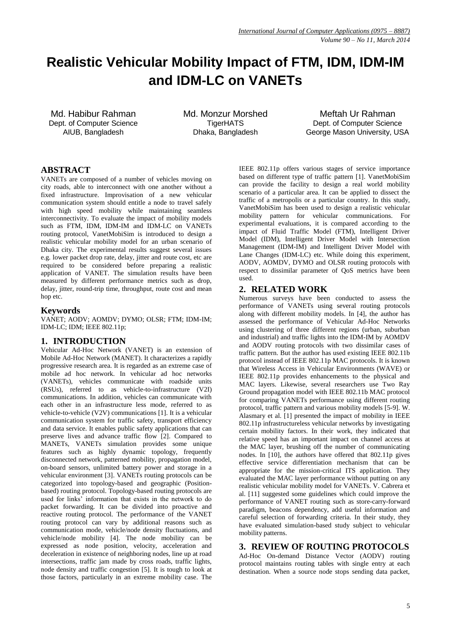# **Realistic Vehicular Mobility Impact of FTM, IDM, IDM-IM and IDM-LC on VANETs**

Md. Habibur Rahman Dept. of Computer Science AIUB, Bangladesh

Md. Monzur Morshed **TigerHATS** Dhaka, Bangladesh

Meftah Ur Rahman Dept. of Computer Science George Mason University, USA

# **ABSTRACT**

VANETs are composed of a number of vehicles moving on city roads, able to interconnect with one another without a fixed infrastructure. Improvisation of a new vehicular communication system should entitle a node to travel safely with high speed mobility while maintaining seamless interconnectivity. To evaluate the impact of mobility models such as FTM, IDM, IDM-IM and IDM-LC on VANETs routing protocol, VanetMobiSim is introduced to design a realistic vehicular mobility model for an urban scenario of Dhaka city. The experimental results suggest several issues e.g. lower packet drop rate, delay, jitter and route cost, etc are required to be considered before preparing a realistic application of VANET. The simulation results have been measured by different performance metrics such as drop, delay, jitter, round-trip time, throughput, route cost and mean hop etc.

## **Keywords**

VANET; AODV; AOMDV; DYMO; OLSR; FTM; IDM-IM; IDM-LC; IDM; IEEE 802.11p;

# **1. INTRODUCTION**

Vehicular Ad-Hoc Network (VANET) is an extension of Mobile Ad-Hoc Network (MANET). It characterizes a rapidly progressive research area. It is regarded as an extreme case of mobile ad hoc network. In vehicular ad hoc networks (VANETs), vehicles communicate with roadside units (RSUs), referred to as vehicle-to-infrastructure (V2I) communications. In addition, vehicles can communicate with each other in an infrastructure less mode, referred to as vehicle-to-vehicle (V2V) communications [1]. It is a vehicular communication system for traffic safety, transport efficiency and data service. It enables public safety applications that can preserve lives and advance traffic flow [2]. Compared to MANETs, VANETs simulation provides some unique features such as highly dynamic topology, frequently disconnected network, patterned mobility, propagation model, on-board sensors, unlimited battery power and storage in a vehicular environment [3]. VANETs routing protocols can be categorized into topology-based and geographic (Positionbased) routing protocol. Topology-based routing protocols are used for links' information that exists in the network to do packet forwarding. It can be divided into proactive and reactive routing protocol. The performance of the VANET routing protocol can vary by additional reasons such as communication mode, vehicle/node density fluctuations, and vehicle/node mobility [4]. The node mobility can be expressed as node position, velocity, acceleration and deceleration in existence of neighboring nodes, line up at road intersections, traffic jam made by cross roads, traffic lights, node density and traffic congestion [5]. It is tough to look at those factors, particularly in an extreme mobility case. The

IEEE 802.11p offers various stages of service importance based on different type of traffic pattern [1]. VanetMobiSim can provide the facility to design a real world mobility scenario of a particular area. It can be applied to dissect the traffic of a metropolis or a particular country. In this study, VanetMobiSim has been used to design a realistic vehicular mobility pattern for vehicular communications. For experimental evaluations, it is compared according to the impact of Fluid Traffic Model (FTM), Intelligent Driver Model (IDM), Intelligent Driver Model with Intersection Management (IDM-IM) and Intelligent Driver Model with Lane Changes (IDM-LC) etc. While doing this experiment, AODV, AOMDV, DYMO and OLSR routing protocols with respect to dissimilar parameter of QoS metrics have been used.

## **2. RELATED WORK**

Numerous surveys have been conducted to assess the performance of VANETs using several routing protocols along with different mobility models. In [4], the author has assessed the performance of Vehicular Ad-Hoc Networks using clustering of three different regions (urban, suburban and industrial) and traffic lights into the IDM-IM by AOMDV and AODV routing protocols with two dissimilar cases of traffic pattern. But the author has used existing IEEE 802.11b protocol instead of IEEE 802.11p MAC protocols. It is known that Wireless Access in Vehicular Environments (WAVE) or IEEE 802.11p provides enhancements to the physical and MAC layers. Likewise, several researchers use Two Ray Ground propagation model with IEEE 802.11b MAC protocol for comparing VANETs performance using different routing protocol, traffic pattern and various mobility models [5-9]. W. Alasmary et al. [1] presented the impact of mobility in IEEE 802.11p infrastructureless vehicular networks by investigating certain mobility factors. In their work, they indicated that relative speed has an important impact on channel access at the MAC layer, brushing off the number of communicating nodes. In [10], the authors have offered that 802.11p gives effective service differentiation mechanism that can be appropriate for the mission-critical ITS application. They evaluated the MAC layer performance without putting on any realistic vehicular mobility model for VANETs. V. Cabrera et al. [11] suggested some guidelines which could improve the performance of VANET routing such as store-carry-forward paradigm, beacons dependency, add useful information and careful selection of forwarding criteria. In their study, they have evaluated simulation-based study subject to vehicular mobility patterns.

# **3. REVIEW OF ROUTING PROTOCOLS**

Ad-Hoc On-demand Distance Vector (AODV) routing protocol maintains routing tables with single entry at each destination. When a source node stops sending data packet,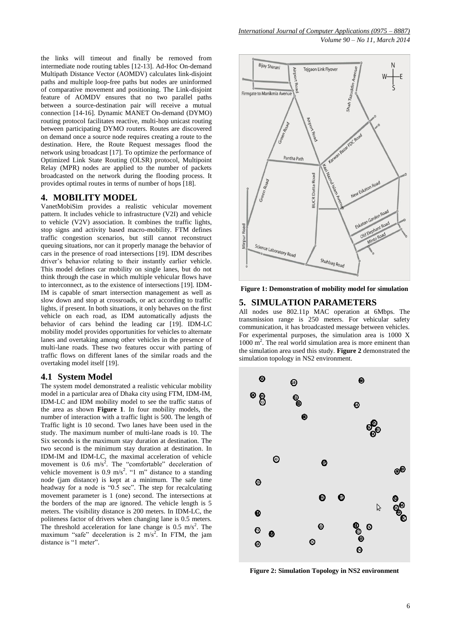the links will timeout and finally be removed from intermediate node routing tables [12-13]. Ad-Hoc On-demand Multipath Distance Vector (AOMDV) calculates link-disjoint paths and multiple loop-free paths but nodes are uninformed of comparative movement and positioning. The Link-disjoint feature of AOMDV ensures that no two parallel paths between a source-destination pair will receive a mutual connection [14-16]. Dynamic MANET On-demand (DYMO) routing protocol facilitates reactive, multi-hop unicast routing between participating DYMO routers. Routes are discovered on demand once a source node requires creating a route to the destination. Here, the Route Request messages flood the network using broadcast [17]. To optimize the performance of Optimized Link State Routing (OLSR) protocol, Multipoint Relay (MPR) nodes are applied to the number of packets broadcasted on the network during the flooding process. It provides optimal routes in terms of number of hops [18].

## **4. MOBILITY MODEL**

VanetMobiSim provides a realistic vehicular movement pattern. It includes vehicle to infrastructure (V2I) and vehicle to vehicle (V2V) association. It combines the traffic lights, stop signs and activity based macro-mobility. FTM defines traffic congestion scenarios, but still cannot reconstruct queuing situations, nor can it properly manage the behavior of cars in the presence of road intersections [19]. IDM describes driver's behavior relating to their instantly earlier vehicle. This model defines car mobility on single lanes, but do not think through the case in which multiple vehicular flows have to interconnect, as to the existence of intersections [19]. IDM-IM is capable of smart intersection management as well as slow down and stop at crossroads, or act according to traffic lights, if present. In both situations, it only behaves on the first vehicle on each road, as IDM automatically adjusts the behavior of cars behind the leading car [19]. IDM-LC mobility model provides opportunities for vehicles to alternate lanes and overtaking among other vehicles in the presence of multi-lane roads. These two features occur with parting of traffic flows on different lanes of the similar roads and the overtaking model itself [19].

#### **4.1 System Model**

The system model demonstrated a realistic vehicular mobility model in a particular area of Dhaka city using FTM, IDM-IM, IDM-LC and IDM mobility model to see the traffic status of the area as shown **Figure 1**. In four mobility models, the number of interaction with a traffic light is 500. The length of Traffic light is 10 second. Two lanes have been used in the study. The maximum number of multi-lane roads is 10. The Six seconds is the maximum stay duration at destination. The two second is the minimum stay duration at destination. In IDM-IM and IDM-LC, the maximal acceleration of vehicle movement is 0.6 m/s<sup>2</sup>. The "comfortable" deceleration of vehicle movement is 0.9 m/s<sup>2</sup>. "1 m" distance to a standing node (jam distance) is kept at a minimum. The safe time headway for a node is "0.5 sec". The step for recalculating movement parameter is 1 (one) second. The intersections at the borders of the map are ignored. The vehicle length is 5 meters. The visibility distance is 200 meters. In IDM-LC, the politeness factor of drivers when changing lane is 0.5 meters. The threshold acceleration for lane change is  $0.5 \text{ m/s}^2$ . The maximum "safe" deceleration is  $2 \text{ m/s}^2$ . In FTM, the jam distance is "1 meter".



**Figure 1: Demonstration of mobility model for simulation**

## **5. SIMULATION PARAMETERS**

All nodes use 802.11p MAC operation at 6Mbps. The transmission range is 250 meters. For vehicular safety communication, it has broadcasted message between vehicles. For experimental purposes, the simulation area is 1000 X 1000 m<sup>2</sup>. The real world simulation area is more eminent than the simulation area used this study. **Figure 2** demonstrated the simulation topology in NS2 environment.



**Figure 2: Simulation Topology in NS2 environment**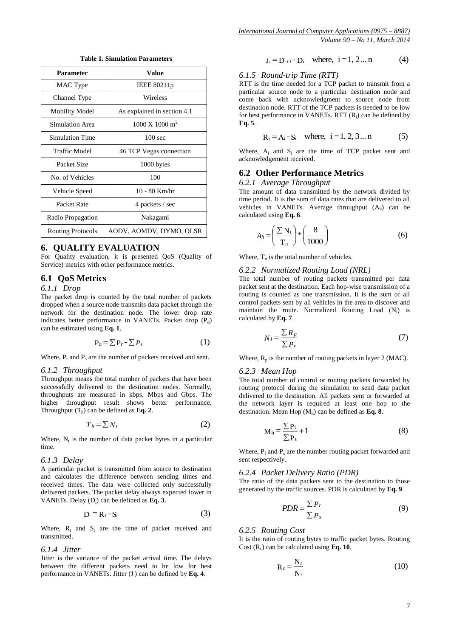| <b>Parameter</b>         | Value                                |
|--------------------------|--------------------------------------|
| MAC Type                 | IEEE 80211p                          |
| Channel Type             | Wireless                             |
| <b>Mobility Model</b>    | As explained in section 4.1          |
| Simulation Area          | $1000 \text{ X}$ 1000 m <sup>2</sup> |
| Simulation Time          | $100 \text{ sec}$                    |
| Traffic Model            | 46 TCP Vegas connection              |
| Packet Size              | 1000 bytes                           |
| No. of Vehicles          | 100                                  |
| Vehicle Speed            | 10 - 80 Km/hr                        |
| Packet Rate              | 4 packets / sec                      |
| Radio Propagation        | Nakagami                             |
| <b>Routing Protocols</b> | AODV, AOMDV, DYMO, OLSR              |

**Table 1. Simulation Parameters**

#### **6. QUALITY EVALUATION**

For Quality evaluation, it is presented QoS (Quality of Service) metrics with other performance metrics.

#### **6.1 QoS Metrics**

### *6.1.1 Drop*

The packet drop is counted by the total number of packets dropped when a source node transmits data packet through the network for the destination node. The lower drop rate indicates better performance in VANETs. Packet drop (P<sub>d</sub>) can be estimated using **Eq. 1**.

$$
P_d = \sum P_r - \sum P_s \tag{1}
$$

Where,  $P_r$  and  $P_s$  are the number of packets received and sent.

#### *6.1.2 Throughput*

Throughput means the total number of packets that have been successfully delivered to the destination nodes. Normally, throughputs are measured in kbps, Mbps and Gbps. The higher throughput result shows better performance. Throughput  $(T_h)$  can be defined as **Eq. 2**.

$$
T_h = \sum N_t \tag{2}
$$

Where,  $N_t$  is the number of data packet bytes in a particular time.

#### *6.1.3 Delay*

A particular packet is transmitted from source to destination and calculates the difference between sending times and received times. The data were collected only successfully delivered packets. The packet delay always expected lower in VANETs. Delay (D<sup>i</sup> ) can be defined as **Eq. 3**.

$$
D_i = R_t - S_t \tag{3}
$$

Where,  $R_t$  and  $S_t$  are the time of packet received and transmitted.

#### *6.1.4 Jitter*

Jitter is the variance of the packet arrival time. The delays between the different packets need to be low for best performance in VANETs. Jitter (J<sub>i</sub>) can be defined by Eq. 4.

$$
J_i = D_{i+1} - D_i
$$
 where,  $i = 1, 2...n$  (4)

#### *6.1.5 Round-trip Time (RTT)*

RTT is the time needed for a TCP packet to transmit from a particular source node to a particular destination node and come back with acknowledgment to source node from destination node. RTT of the TCP packets is needed to be low for best performance in VANETs. RTT (R<sub>i</sub>) can be defined by **Eq. 5**.

$$
R_i = A_i - S_i
$$
 where,  $i = 1, 2, 3...n$  (5)

Where,  $A_i$  and  $S_i$  are the time of TCP packet sent and acknowledgement received.

#### **6.2 Other Performance Metrics**

#### *6.2.1 Average Throughput*

The amount of data transmitted by the network divided by time period. It is the sum of data rates that are delivered to all vehicles in VANETs. Average throughput  $(A_h)$  can be calculated using **Eq. 6**.

$$
A_h = \left(\frac{\sum N_t}{T_n}\right) * \left(\frac{8}{1000}\right) \tag{6}
$$

Where,  $T_n$  is the total number of vehicles.

## *6.2.2 Normalized Routing Load (NRL)*

The total number of routing packets transmitted per data packet sent at the destination. Each hop-wise transmission of a routing is counted as one transmission. It is the sum of all control packets sent by all vehicles in the area to discover and maintain the route. Normalized Routing Load  $(N_1)$  is calculated by **Eq. 7**.

$$
N_l = \frac{\sum R_p}{\sum P_r}
$$
 (7)

Where,  $R_p$  is the number of routing packets in layer 2 (MAC).

#### *6.2.3 Mean Hop*

The total number of control or routing packets forwarded by routing protocol during the simulation to send data packet delivered to the destination. All packets sent or forwarded at the network layer is required at least one hop to the destination. Mean Hop (M<sup>h</sup> ) can be defined as **Eq. 8**.

$$
M_h = \frac{\sum P_f}{\sum P_s} + 1
$$
 (8)

Where,  $P_f$  and  $P_s$  are the number routing packet forwarded and sent respectively.

#### *6.2.4 Packet Delivery Ratio (PDR)*

The ratio of the data packets sent to the destination to those generated by the traffic sources. PDR is calculated by **Eq. 9**.

$$
PDR = \frac{\sum P_r}{\sum P_s}
$$
 (9)

#### *6.2.5 Routing Cost*

It is the ratio of routing bytes to traffic packet bytes. Routing Cost (R<sub>c</sub>) can be calculated using Eq. 10.

$$
R_c = \frac{N_r}{N_t}
$$
 (10)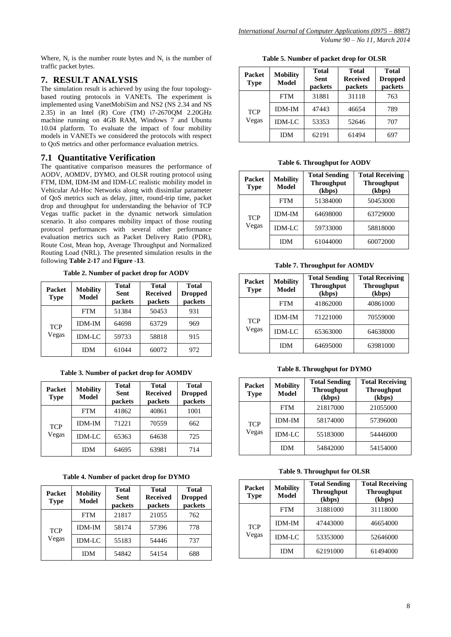Where,  $N_r$  is the number route bytes and  $N_t$  is the number of traffic packet bytes.

# **7. RESULT ANALYSIS**

The simulation result is achieved by using the four topologybased routing protocols in VANETs. The experiment is implemented using VanetMobiSim and NS2 (NS 2.34 and NS 2.35) in an Intel (R) Core (TM) i7-2670QM 2.20GHz machine running on 4GB RAM, Windows 7 and Ubuntu 10.04 platform. To evaluate the impact of four mobility models in VANETs we considered the protocols with respect to QoS metrics and other performance evaluation metrics.

# **7.1 Quantitative Verification**

The quantitative comparison measures the performance of AODV, AOMDV, DYMO, and OLSR routing protocol using FTM, IDM, IDM-IM and IDM-LC realistic mobility model in Vehicular Ad-Hoc Networks along with dissimilar parameter of QoS metrics such as delay, jitter, round-trip time, packet drop and throughput for understanding the behavior of TCP Vegas traffic packet in the dynamic network simulation scenario. It also compares mobility impact of those routing protocol performances with several other performance evaluation metrics such as Packet Delivery Ratio (PDR), Route Cost, Mean hop, Average Throughput and Normalized Routing Load (NRL). The presented simulation results in the following **Table 2-17** and **Figure -13**.

**Table 2. Number of packet drop for AODV**

| <b>Packet</b><br><b>Type</b> | <b>Mobility</b><br><b>Model</b> | Total<br><b>Sent</b><br>packets | Total<br><b>Received</b><br>packets | <b>Total</b><br><b>Dropped</b><br>packets |
|------------------------------|---------------------------------|---------------------------------|-------------------------------------|-------------------------------------------|
|                              | <b>FTM</b>                      | 51384                           | 50453                               | 931                                       |
| <b>TCP</b>                   | <b>IDM-IM</b>                   | 64698                           | 63729                               | 969                                       |
| Vegas                        | <b>IDM-LC</b>                   | 59733                           | 58818                               | 915                                       |
|                              | <b>IDM</b>                      | 61044                           | 60072                               | 972                                       |

**Table 3. Number of packet drop for AOMDV**

| <b>Packet</b><br><b>Type</b> | <b>Mobility</b><br><b>Model</b> | <b>Total</b><br>Sent<br>packets | <b>Total</b><br><b>Received</b><br>packets | <b>Total</b><br><b>Dropped</b><br>packets |
|------------------------------|---------------------------------|---------------------------------|--------------------------------------------|-------------------------------------------|
|                              | <b>FTM</b>                      | 41862                           | 40861                                      | 1001                                      |
| <b>TCP</b>                   | <b>IDM-IM</b>                   | 71221                           | 70559                                      | 662                                       |
| Vegas                        | <b>IDM-LC</b>                   | 65363                           | 64638                                      | 725                                       |
|                              | <b>IDM</b>                      | 64695                           | 63981                                      | 714                                       |

## **Table 4. Number of packet drop for DYMO**

| <b>Packet</b><br><b>Type</b> | <b>Mobility</b><br><b>Model</b> | Total<br>Sent<br>packets | Total<br><b>Received</b><br>packets | <b>Total</b><br><b>Dropped</b><br>packets |
|------------------------------|---------------------------------|--------------------------|-------------------------------------|-------------------------------------------|
|                              | <b>FTM</b>                      | 21817                    | 21055                               | 762                                       |
| <b>TCP</b>                   | <b>IDM-IM</b>                   | 58174                    | 57396                               | 778                                       |
| Vegas                        | <b>IDM-LC</b>                   | 55183                    | 54446                               | 737                                       |
|                              | IDM                             | 54842                    | 54154                               | 688                                       |

**Table 5. Number of packet drop for OLSR**

| <b>Packet</b><br><b>Type</b> | <b>Mobility</b><br>Model | <b>Total</b><br><b>Sent</b><br>packets | <b>Total</b><br><b>Received</b><br>packets | Total<br><b>Dropped</b><br>packets |
|------------------------------|--------------------------|----------------------------------------|--------------------------------------------|------------------------------------|
|                              | <b>FTM</b>               | 31881                                  | 31118                                      | 763                                |
| <b>TCP</b>                   | <b>IDM-IM</b>            | 47443                                  | 46654                                      | 789                                |
| Vegas                        | <b>IDM-LC</b>            | 53353                                  | 52646                                      | 707                                |
|                              | IDM                      | 62191                                  | 61494                                      | 697                                |

**Table 6. Throughput for AODV**

| Packet<br><b>Type</b> | <b>Mobility</b><br><b>Model</b> | <b>Total Sending</b><br><b>Throughput</b><br>(kbps) | <b>Total Receiving</b><br><b>Throughput</b><br>(kbps) |
|-----------------------|---------------------------------|-----------------------------------------------------|-------------------------------------------------------|
| <b>TCP</b>            | FTM                             | 51384000                                            | 50453000                                              |
|                       | <b>IDM-IM</b>                   | 64698000                                            | 63729000                                              |
| Vegas                 | <b>IDM-LC</b>                   | 59733000                                            | 58818000                                              |
|                       | IDM                             | 61044000                                            | 60072000                                              |

**Table 7. Throughput for AOMDV**

| Packet<br><b>Type</b> | <b>Mobility</b><br><b>Model</b> | <b>Total Sending</b><br><b>Throughput</b><br>(kbps) | <b>Total Receiving</b><br><b>Throughput</b><br>(kbps) |
|-----------------------|---------------------------------|-----------------------------------------------------|-------------------------------------------------------|
|                       | <b>FTM</b>                      | 41862000                                            | 40861000                                              |
| <b>TCP</b>            | <b>IDM-IM</b>                   | 71221000                                            | 70559000                                              |
| Vegas                 | <b>IDM-LC</b>                   | 65363000                                            | 64638000                                              |
|                       | IDM                             | 64695000                                            | 63981000                                              |

**Table 8. Throughput for DYMO**

| Packet<br><b>Type</b> | <b>Mobility</b><br><b>Model</b> | <b>Total Sending</b><br><b>Throughput</b><br>(kbps) | <b>Total Receiving</b><br><b>Throughput</b><br>(kbps) |
|-----------------------|---------------------------------|-----------------------------------------------------|-------------------------------------------------------|
|                       | <b>FTM</b>                      | 21817000                                            | 21055000                                              |
| <b>TCP</b>            | <b>IDM-IM</b>                   | 58174000                                            | 57396000                                              |
| Vegas                 | <b>IDM-LC</b>                   | 55183000                                            | 54446000                                              |
|                       | IDM                             | 54842000                                            | 54154000                                              |

**Table 9. Throughput for OLSR**

| Packet<br><b>Type</b> | <b>Mobility</b><br><b>Model</b> | <b>Total Sending</b><br><b>Throughput</b><br>(kbps) | <b>Total Receiving</b><br><b>Throughput</b><br>(kbps) |
|-----------------------|---------------------------------|-----------------------------------------------------|-------------------------------------------------------|
|                       | <b>FTM</b>                      | 31881000                                            | 31118000                                              |
| <b>TCP</b>            | <b>IDM-IM</b>                   | 47443000                                            | 46654000                                              |
| Vegas                 | $IDM-LC$                        | 53353000                                            | 52646000                                              |
|                       | <b>IDM</b>                      | 62191000                                            | 61494000                                              |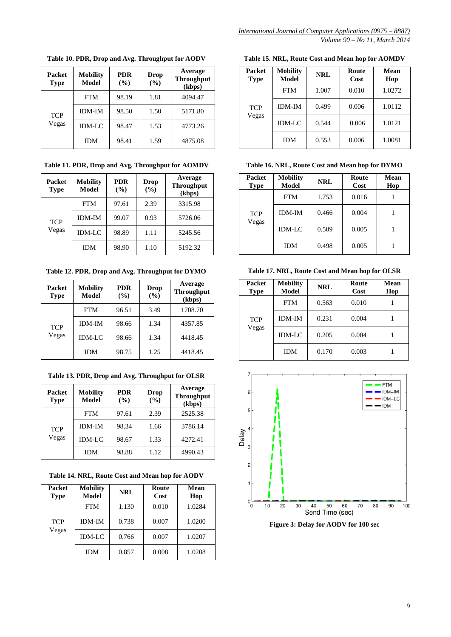**Packet Type Mobility Model PDR (%) Drop (%) Average Throughput (kbps) TCP** Vegas FTM 98.19 1.81 4094.47 IDM-IM 98.50 1.50 5171.80 IDM-LC 98.47 1.53 4773.26 IDM 98.41 1.59 4875.08

**Table 10. PDR, Drop and Avg. Throughput for AODV**

**Table 11. PDR, Drop and Avg. Throughput for AOMDV**

| <b>Packet</b><br>Type | <b>Mobility</b><br>Model | <b>PDR</b><br>(%) | Drop<br>(%) | Average<br><b>Throughput</b><br>(kbps) |
|-----------------------|--------------------------|-------------------|-------------|----------------------------------------|
|                       | <b>FTM</b>               | 97.61             | 2.39        | 3315.98                                |
| <b>TCP</b><br>Vegas   | <b>IDM-IM</b>            | 99.07             | 0.93        | 5726.06                                |
|                       | $IDM-LC$                 | 98.89             | 1.11        | 5245.56                                |
|                       | IDM                      | 98.90             | 1.10        | 5192.32                                |

**Table 12. PDR, Drop and Avg. Throughput for DYMO**

| <b>Packet</b><br><b>Type</b> | <b>Mobility</b><br>Model | <b>PDR</b><br>(%) | Drop<br>(%) | Average<br><b>Throughput</b><br>(kbps) |
|------------------------------|--------------------------|-------------------|-------------|----------------------------------------|
|                              | <b>FTM</b>               | 96.51             | 3.49        | 1708.70                                |
| <b>TCP</b>                   | <b>IDM-IM</b>            | 98.66             | 1.34        | 4357.85                                |
| Vegas                        | <b>IDM-LC</b>            | 98.66             | 1.34        | 4418.45                                |
|                              | <b>IDM</b>               | 98.75             | 1.25        | 4418.45                                |

**Table 13. PDR, Drop and Avg. Throughput for OLSR**

| <b>Packet</b><br><b>Type</b> | <b>Mobility</b><br><b>Model</b> | <b>PDR</b><br>(%) | Drop<br>(%) | Average<br><b>Throughput</b><br>(kbps) |
|------------------------------|---------------------------------|-------------------|-------------|----------------------------------------|
|                              | <b>FTM</b>                      | 97.61             | 2.39        | 2525.38                                |
| <b>TCP</b><br>Vegas          | <b>IDM-IM</b>                   | 98.34             | 1.66        | 3786.14                                |
|                              | $IDM-LC$                        | 98.67             | 1.33        | 4272.41                                |
|                              | <b>IDM</b>                      | 98.88             | 1.12        | 4990.43                                |

**Table 14. NRL, Route Cost and Mean hop for AODV**

| Packet<br><b>Type</b> | <b>Mobility</b><br>Model | <b>NRL</b> | Route<br>Cost | Mean<br>Hop |
|-----------------------|--------------------------|------------|---------------|-------------|
| <b>TCP</b><br>Vegas   | <b>FTM</b>               | 1.130      | 0.010         | 1.0284      |
|                       | <b>IDM-IM</b>            | 0.738      | 0.007         | 1.0200      |
|                       | $IDM-LC$                 | 0.766      | 0.007         | 1.0207      |
|                       | IDM                      | 0.857      | 0.008         | 1.0208      |

**Table 15. NRL, Route Cost and Mean hop for AOMDV**

| <b>Packet</b><br><b>Type</b> | <b>Mobility</b><br>Model | <b>NRL</b> | Route<br>Cost | <b>Mean</b><br>Hop |
|------------------------------|--------------------------|------------|---------------|--------------------|
| <b>TCP</b><br>Vegas          | <b>FTM</b>               | 1.007      | 0.010         | 1.0272             |
|                              | <b>IDM-IM</b>            | 0.499      | 0.006         | 1.0112             |
|                              | $IDM-LC$                 | 0.544      | 0.006         | 1.0121             |
|                              | <b>IDM</b>               | 0.553      | 0.006         | 1.0081             |

**Table 16. NRL, Route Cost and Mean hop for DYMO**

| Packet<br><b>Type</b> | <b>Mobility</b><br>Model | <b>NRL</b> | Route<br>Cost | Mean<br>Hop |
|-----------------------|--------------------------|------------|---------------|-------------|
| <b>TCP</b><br>Vegas   | <b>FTM</b>               | 1.753      | 0.016         |             |
|                       | <b>IDM-IM</b>            | 0.466      | 0.004         |             |
|                       | $IDM-LC$                 | 0.509      | 0.005         |             |
|                       | <b>IDM</b>               | 0.498      | 0.005         |             |

**Table 17. NRL, Route Cost and Mean hop for OLSR**

| <b>Packet</b><br><b>Type</b> | <b>Mobility</b><br>Model | NRL   | Route<br>Cost | Mean<br>Hop |
|------------------------------|--------------------------|-------|---------------|-------------|
| <b>TCP</b><br>Vegas          | <b>FTM</b>               | 0.563 | 0.010         |             |
|                              | <b>IDM-IM</b>            | 0.231 | 0.004         |             |
|                              | <b>IDM-LC</b>            | 0.205 | 0.004         |             |
|                              | IDM                      | 0.170 | 0.003         |             |



**Figure 3: Delay for AODV for 100 sec**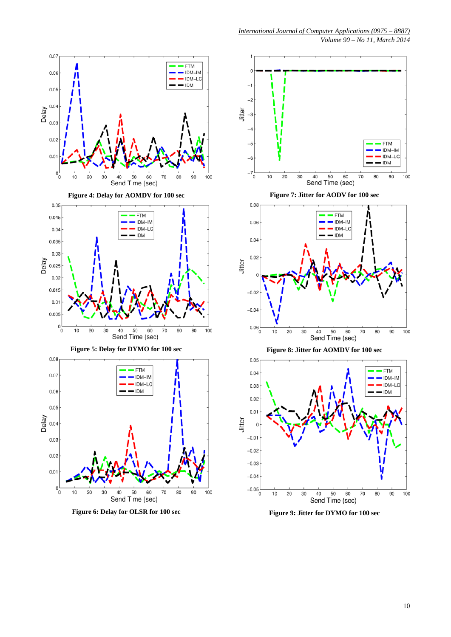

 $0.07$ 

*International Journal of Computer Applications (0975 – 8887) Volume 90 – No 11, March 2014*

Jitter  $\overline{a}$ **FTM** IDM-IM IDM-LC  $-6$ - IDM 0  $10$ 20 30 40 50 60 70 80 90 100 Send Time (sec)

**Figure 7: Jitter for AODV for 100 sec**



**Figure 8: Jitter for AOMDV for 100 sec**



**Figure 9: Jitter for DYMO for 100 sec**



**Figure 6: Delay for OLSR for 100 sec**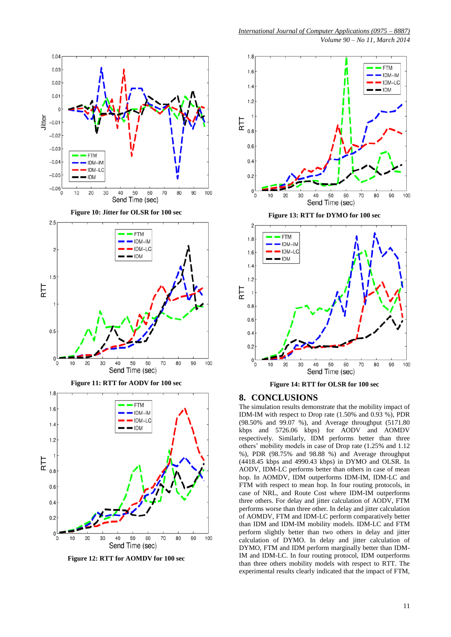

**Figure 12: RTT for AOMDV for 100 sec**

*International Journal of Computer Applications (0975 – 8887)*

*Volume 90 – No 11, March 2014*



#### **8. CONCLUSIONS**

The simulation results demonstrate that the mobility impact of IDM-IM with respect to Drop rate (1.50% and 0.93 %), PDR (98.50% and 99.07 %), and Average throughput (5171.80 kbps and 5726.06 kbps) for AODV and AOMDV respectively. Similarly, IDM performs better than three others' mobility models in case of Drop rate (1.25% and 1.12 %), PDR (98.75% and 98.88 %) and Average throughput (4418.45 kbps and 4990.43 kbps) in DYMO and OLSR. In AODV, IDM-LC performs better than others in case of mean hop. In AOMDV, IDM outperforms IDM-IM, IDM-LC and FTM with respect to mean hop. In four routing protocols, in case of NRL, and Route Cost where IDM-IM outperforms three others. For delay and jitter calculation of AODV, FTM performs worse than three other. In delay and jitter calculation of AOMDV, FTM and IDM-LC perform comparatively better than IDM and IDM-IM mobility models. IDM-LC and FTM perform slightly better than two others in delay and jitter calculation of DYMO. In delay and jitter calculation of DYMO, FTM and IDM perform marginally better than IDM-IM and IDM-LC. In four routing protocol, IDM outperforms than three others mobility models with respect to RTT. The experimental results clearly indicated that the impact of FTM,